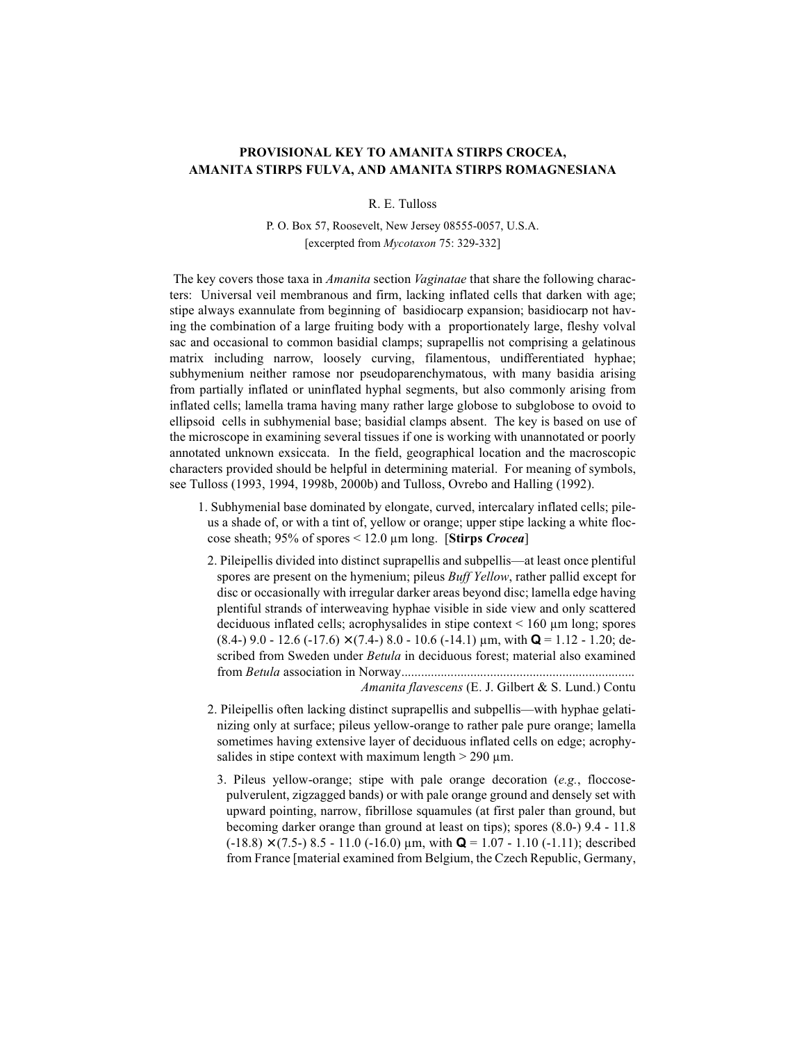## PROVISIONAL KEY TO AMANITA STIRPS CROCEA, AMANITA STIRPS FULVA, AND AMANITA STIRPS ROMAGNESIANA

R. E. Tulloss

P. O. Box 57, Roosevelt, New Jersey 08555-0057, U.S.A. [excerpted from Mycotaxon 75: 329-332]

The key covers those taxa in *Amanita* section *Vaginatae* that share the following characters: Universal veil membranous and firm, lacking inflated cells that darken with age; stipe always exannulate from beginning of basidiocarp expansion; basidiocarp not having the combination of a large fruiting body with a proportionately large, fleshy volval sac and occasional to common basidial clamps; suprapellis not comprising a gelatinous matrix including narrow, loosely curving, filamentous, undifferentiated hyphae; subhymenium neither ramose nor pseudoparenchymatous, with many basidia arising from partially inflated or uninflated hyphal segments, but also commonly arising from inflated cells; lamella trama having many rather large globose to subglobose to ovoid to ellipsoid cells in subhymenial base; basidial clamps absent. The key is based on use of the microscope in examining several tissues if one is working with unannotated or poorly annotated unknown exsiccata. In the field, geographical location and the macroscopic characters provided should be helpful in determining material. For meaning of symbols, see Tulloss (1993, 1994, 1998b, 2000b) and Tulloss, Ovrebo and Halling (1992).

- 1. Subhymenial base dominated by elongate, curved, intercalary inflated cells; pileus a shade of, or with a tint of, yellow or orange; upper stipe lacking a white floccose sheath; 95% of spores  $\leq$  12.0 µm long. [Stirps *Crocea*]
- 2. Pileipellis divided into distinct suprapellis and subpellis—at least once plentiful spores are present on the hymenium; pileus *Buff Yellow*, rather pallid except for disc or occasionally with irregular darker areas beyond disc; lamella edge having plentiful strands of interweaving hyphae visible in side view and only scattered deciduous inflated cells; acrophysalides in stipe context  $\leq 160 \mu m$  long; spores  $(8.4-)$  9.0 - 12.6 (-17.6)  $\times$  (7.4-) 8.0 - 10.6 (-14.1)  $\mu$ m, with **Q** = 1.12 - 1.20; described from Sweden under Betula in deciduous forest; material also examined

Amanita flavescens (E. J. Gilbert & S. Lund.) Contu

- 2. Pileipellis often lacking distinct suprapellis and subpellis—with hyphae gelatinizing only at surface; pileus yellow-orange to rather pale pure orange; lamella sometimes having extensive layer of deciduous inflated cells on edge; acrophysalides in stipe context with maximum length  $> 290 \mu m$ .
	- 3. Pileus yellow-orange; stipe with pale orange decoration (e.g., floccosepulverulent, zigzagged bands) or with pale orange ground and densely set with upward pointing, narrow, fibrillose squamules (at first paler than ground, but becoming darker orange than ground at least on tips); spores  $(8.0-)$  9.4 - 11.8  $(-18.8) \times (7.5)$  8.5 - 11.0 (-16.0) µm, with **Q** = 1.07 - 1.10 (-1.11); described from France [material examined from Belgium, the Czech Republic, Germany,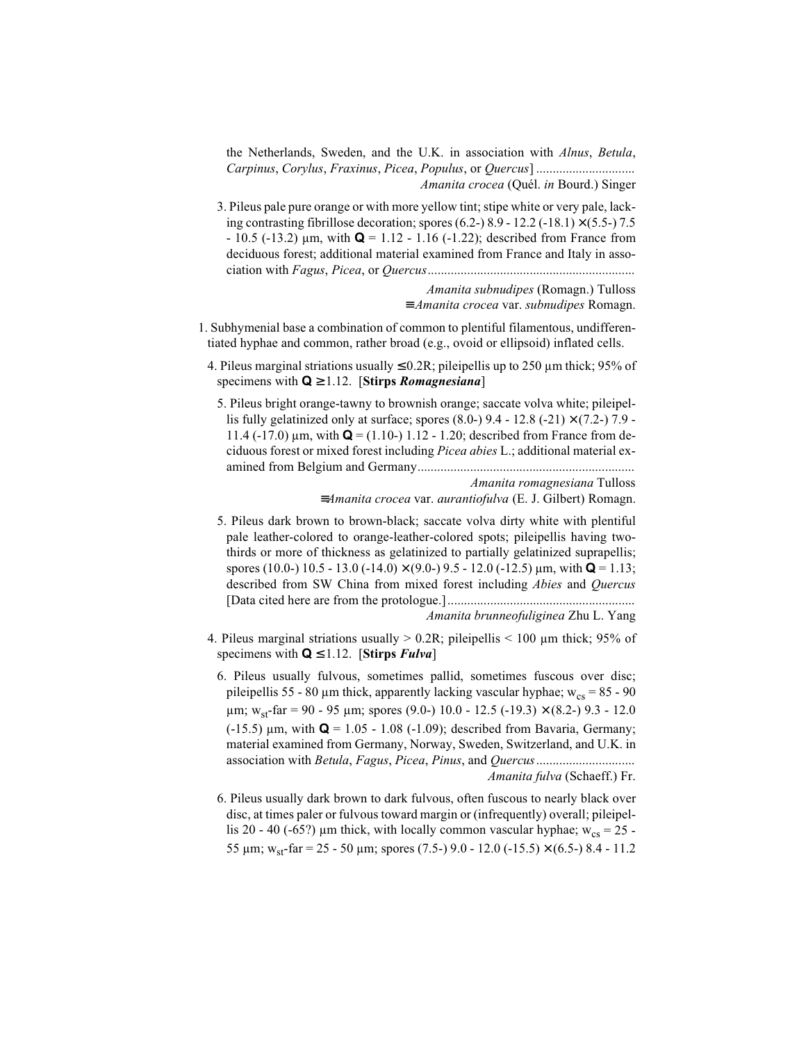the Netherlands, Sweden, and the U.K. in association with Alnus, Betula, *Amanita crocea* (Quél. *in* Bourd.) Singer

3. Pileus pale pure orange or with more yellow tint; stipe white or very pale, lacking contrasting fibrillose decoration; spores (6.2-) 8.9 - 12.2 (-18.1)  $\times$  (5.5-) 7.5  $-10.5$  (-13.2)  $\mu$ m, with **Q** = 1.12 - 1.16 (-1.22); described from France from deciduous forest; additional material examined from France and Italy in asso-

> Amanita subnudipes (Romagn.) Tulloss  $\equiv$  Amanita crocea var. subnudipes Romagn

- 1. Subhymenial base a combination of common to plentiful filamentous, undifferentiated hyphae and common, rather broad (e.g., ovoid or ellipsoid) inflated cells.
	- 4. Pileus marginal striations usually  $\leq 0.2R$ ; pileipellis up to 250 µm thick; 95% of specimens with  $Q \ge 1.12$ . [Stirps *Romagnesiana*]
		- 5. Pileus bright orange-tawny to brownish orange; saccate volva white; pileipellis fully gelatinized only at surface; spores  $(8.0-)$  9.4 - 12.8  $(-21) \times (7.2-)$  7.9 -11.4 (-17.0)  $\mu$ m, with  $\mathbf{Q} = (1.10 - 1.12 - 1.20)$ ; described from France from deciduous forest or mixed forest including *Picea abies* L.; additional material ex-

Amanita romagnesiana Tulloss  $\equiv A$ manita crocea var. aurantiofulva (E. J. Gilbert) Romagn.

5. Pileus dark brown to brown-black; saccate volva dirty white with plentiful pale leather-colored to orange-leather-colored spots; pileipellis having twothirds or more of thickness as gelatinized to partially gelatinized suprapellis; spores (10.0-) 10.5 - 13.0 (-14.0)  $\times$  (9.0-) 9.5 - 12.0 (-12.5)  $\mu$ m, with **Q** = 1.13; described from SW China from mixed forest including *Abies* and *Quercus* 

Amanita brunneofuliginea Zhu L. Yang

- 4. Pileus marginal striations usually  $> 0.2R$ ; pileipellis  $< 100 \mu m$  thick; 95% of specimens with  $Q \le 1.12$ . [Stirps *Fulva*]
	- 6. Pileus usually fulvous, sometimes pallid, sometimes fuscous over disc; pileipellis 55 - 80 µm thick, apparently lacking vascular hyphae;  $w_{cs} = 85 - 90$  $\mu$ m; w<sub>st</sub>-far = 90 - 95  $\mu$ m; spores (9.0-) 10.0 - 12.5 (-19.3) × (8.2-) 9.3 - 12.0  $(-15.5)$  µm, with  $Q = 1.05 - 1.08 (-1.09)$ ; described from Bavaria, Germany; material examined from Germany, Norway, Sweden, Switzerland, and U.K. in Amanita fulva (Schaeff.) Fr.
	- 6. Pileus usually dark brown to dark fulvous, often fuscous to nearly black over disc, at times paler or fulvous toward margin or (infrequently) overall; pileipellis 20 - 40 (-65?) µm thick, with locally common vascular hyphae;  $w_{cs} = 25$  -55 µm;  $w_{st}$ -far = 25 - 50 µm; spores (7.5-) 9.0 - 12.0 (-15.5)  $\times$  (6.5-) 8.4 - 11.2